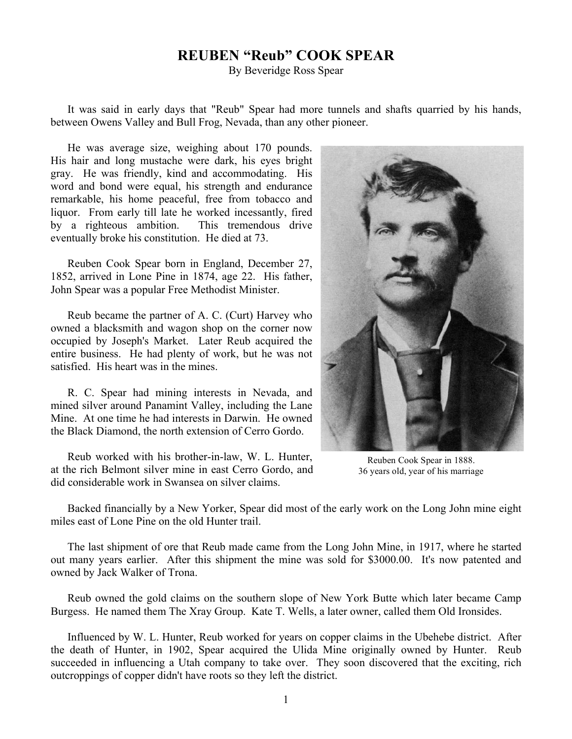## **REUBEN "Reub" COOK SPEAR**

By Beveridge Ross Spear

It was said in early days that "Reub" Spear had more tunnels and shafts quarried by his hands, between Owens Valley and Bull Frog, Nevada, than any other pioneer.

He was average size, weighing about 170 pounds. His hair and long mustache were dark, his eyes bright gray. He was friendly, kind and accommodating. His word and bond were equal, his strength and endurance remarkable, his home peaceful, free from tobacco and liquor. From early till late he worked incessantly, fired by a righteous ambition. This tremendous drive eventually broke his constitution. He died at 73.

Reuben Cook Spear born in England, December 27, 1852, arrived in Lone Pine in 1874, age 22. His father, John Spear was a popular Free Methodist Minister.

Reub became the partner of A. C. (Curt) Harvey who owned a blacksmith and wagon shop on the corner now occupied by Joseph's Market. Later Reub acquired the entire business. He had plenty of work, but he was not satisfied. His heart was in the mines.

R. C. Spear had mining interests in Nevada, and mined silver around Panamint Valley, including the Lane Mine. At one time he had interests in Darwin. He owned the Black Diamond, the north extension of Cerro Gordo.

Reub worked with his brother-in-law, W. L. Hunter, at the rich Belmont silver mine in east Cerro Gordo, and did considerable work in Swansea on silver claims.



Reuben Cook Spear in 1888. 36 years old, year of his marriage

Backed financially by a New Yorker, Spear did most of the early work on the Long John mine eight miles east of Lone Pine on the old Hunter trail.

The last shipment of ore that Reub made came from the Long John Mine, in 1917, where he started out many years earlier. After this shipment the mine was sold for \$3000.00. It's now patented and owned by Jack Walker of Trona.

Reub owned the gold claims on the southern slope of New York Butte which later became Camp Burgess. He named them The Xray Group. Kate T. Wells, a later owner, called them Old Ironsides.

Influenced by W. L. Hunter, Reub worked for years on copper claims in the Ubehebe district. After the death of Hunter, in 1902, Spear acquired the Ulida Mine originally owned by Hunter. Reub succeeded in influencing a Utah company to take over. They soon discovered that the exciting, rich outcroppings of copper didn't have roots so they left the district.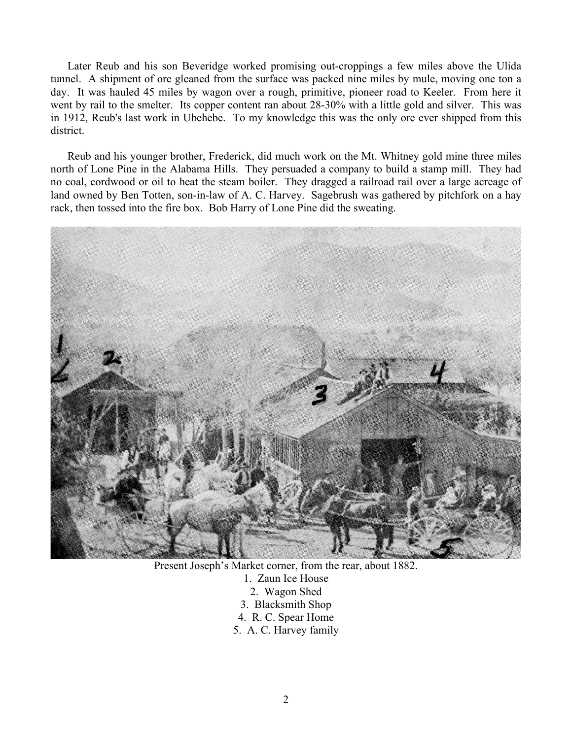Later Reub and his son Beveridge worked promising out-croppings a few miles above the Ulida tunnel. A shipment of ore gleaned from the surface was packed nine miles by mule, moving one ton a day. It was hauled 45 miles by wagon over a rough, primitive, pioneer road to Keeler. From here it went by rail to the smelter. Its copper content ran about 28-30% with a little gold and silver. This was in 1912, Reub's last work in Ubehebe. To my knowledge this was the only ore ever shipped from this district.

Reub and his younger brother, Frederick, did much work on the Mt. Whitney gold mine three miles north of Lone Pine in the Alabama Hills. They persuaded a company to build a stamp mill. They had no coal, cordwood or oil to heat the steam boiler. They dragged a railroad rail over a large acreage of land owned by Ben Totten, son-in-law of A. C. Harvey. Sagebrush was gathered by pitchfork on a hay rack, then tossed into the fire box. Bob Harry of Lone Pine did the sweating.



Present Joseph's Market corner, from the rear, about 1882.

- 1. Zaun Ice House
	- 2. Wagon Shed
- 3. Blacksmith Shop
- 4. R. C. Spear Home
- 5. A. C. Harvey family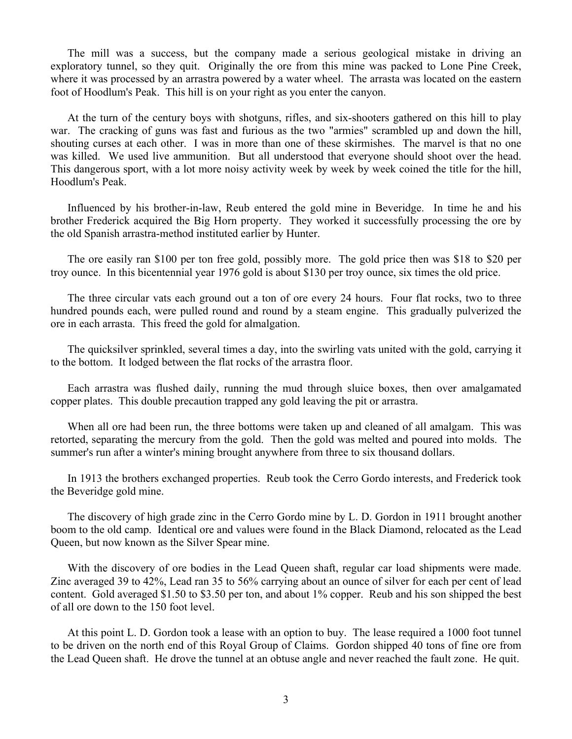The mill was a success, but the company made a serious geological mistake in driving an exploratory tunnel, so they quit. Originally the ore from this mine was packed to Lone Pine Creek, where it was processed by an arrastra powered by a water wheel. The arrasta was located on the eastern foot of Hoodlum's Peak. This hill is on your right as you enter the canyon.

At the turn of the century boys with shotguns, rifles, and six-shooters gathered on this hill to play war. The cracking of guns was fast and furious as the two "armies" scrambled up and down the hill, shouting curses at each other. I was in more than one of these skirmishes. The marvel is that no one was killed. We used live ammunition. But all understood that everyone should shoot over the head. This dangerous sport, with a lot more noisy activity week by week by week coined the title for the hill, Hoodlum's Peak.

Influenced by his brother-in-law, Reub entered the gold mine in Beveridge. In time he and his brother Frederick acquired the Big Horn property. They worked it successfully processing the ore by the old Spanish arrastra-method instituted earlier by Hunter.

The ore easily ran \$100 per ton free gold, possibly more. The gold price then was \$18 to \$20 per troy ounce. In this bicentennial year 1976 gold is about \$130 per troy ounce, six times the old price.

The three circular vats each ground out a ton of ore every 24 hours. Four flat rocks, two to three hundred pounds each, were pulled round and round by a steam engine. This gradually pulverized the ore in each arrasta. This freed the gold for almalgation.

The quicksilver sprinkled, several times a day, into the swirling vats united with the gold, carrying it to the bottom. It lodged between the flat rocks of the arrastra floor.

Each arrastra was flushed daily, running the mud through sluice boxes, then over amalgamated copper plates. This double precaution trapped any gold leaving the pit or arrastra.

When all ore had been run, the three bottoms were taken up and cleaned of all amalgam. This was retorted, separating the mercury from the gold. Then the gold was melted and poured into molds. The summer's run after a winter's mining brought anywhere from three to six thousand dollars.

In 1913 the brothers exchanged properties. Reub took the Cerro Gordo interests, and Frederick took the Beveridge gold mine.

The discovery of high grade zinc in the Cerro Gordo mine by L. D. Gordon in 1911 brought another boom to the old camp. Identical ore and values were found in the Black Diamond, relocated as the Lead Queen, but now known as the Silver Spear mine.

With the discovery of ore bodies in the Lead Queen shaft, regular car load shipments were made. Zinc averaged 39 to 42%, Lead ran 35 to 56% carrying about an ounce of silver for each per cent of lead content. Gold averaged \$1.50 to \$3.50 per ton, and about 1% copper. Reub and his son shipped the best of all ore down to the 150 foot level.

At this point L. D. Gordon took a lease with an option to buy. The lease required a 1000 foot tunnel to be driven on the north end of this Royal Group of Claims. Gordon shipped 40 tons of fine ore from the Lead Queen shaft. He drove the tunnel at an obtuse angle and never reached the fault zone. He quit.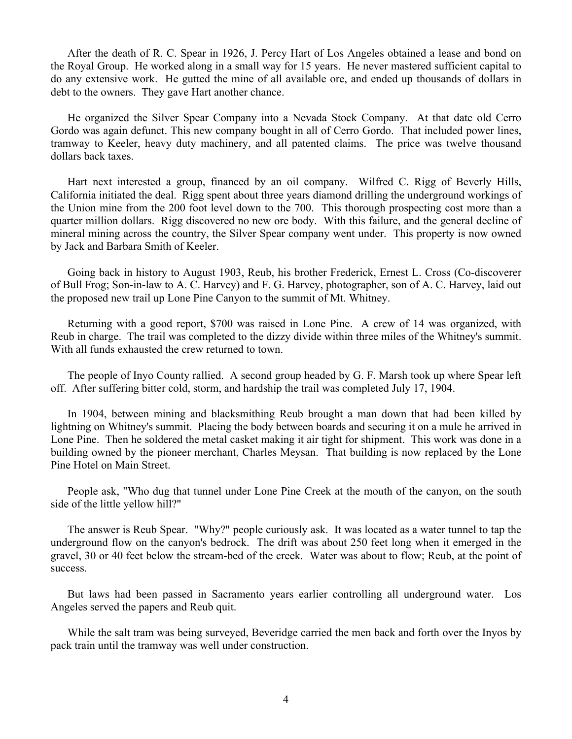After the death of R. C. Spear in 1926, J. Percy Hart of Los Angeles obtained a lease and bond on the Royal Group. He worked along in a small way for 15 years. He never mastered sufficient capital to do any extensive work. He gutted the mine of all available ore, and ended up thousands of dollars in debt to the owners. They gave Hart another chance.

He organized the Silver Spear Company into a Nevada Stock Company. At that date old Cerro Gordo was again defunct. This new company bought in all of Cerro Gordo. That included power lines, tramway to Keeler, heavy duty machinery, and all patented claims. The price was twelve thousand dollars back taxes.

Hart next interested a group, financed by an oil company. Wilfred C. Rigg of Beverly Hills, California initiated the deal. Rigg spent about three years diamond drilling the underground workings of the Union mine from the 200 foot level down to the 700. This thorough prospecting cost more than a quarter million dollars. Rigg discovered no new ore body. With this failure, and the general decline of mineral mining across the country, the Silver Spear company went under. This property is now owned by Jack and Barbara Smith of Keeler.

Going back in history to August 1903, Reub, his brother Frederick, Ernest L. Cross (Co-discoverer of Bull Frog; Son-in-law to A. C. Harvey) and F. G. Harvey, photographer, son of A. C. Harvey, laid out the proposed new trail up Lone Pine Canyon to the summit of Mt. Whitney.

Returning with a good report, \$700 was raised in Lone Pine. A crew of 14 was organized, with Reub in charge. The trail was completed to the dizzy divide within three miles of the Whitney's summit. With all funds exhausted the crew returned to town.

The people of Inyo County rallied. A second group headed by G. F. Marsh took up where Spear left off. After suffering bitter cold, storm, and hardship the trail was completed July 17, 1904.

In 1904, between mining and blacksmithing Reub brought a man down that had been killed by lightning on Whitney's summit. Placing the body between boards and securing it on a mule he arrived in Lone Pine. Then he soldered the metal casket making it air tight for shipment. This work was done in a building owned by the pioneer merchant, Charles Meysan. That building is now replaced by the Lone Pine Hotel on Main Street.

People ask, "Who dug that tunnel under Lone Pine Creek at the mouth of the canyon, on the south side of the little yellow hill?"

The answer is Reub Spear. "Why?" people curiously ask. It was located as a water tunnel to tap the underground flow on the canyon's bedrock. The drift was about 250 feet long when it emerged in the gravel, 30 or 40 feet below the stream-bed of the creek. Water was about to flow; Reub, at the point of success.

But laws had been passed in Sacramento years earlier controlling all underground water. Los Angeles served the papers and Reub quit.

While the salt tram was being surveyed, Beveridge carried the men back and forth over the Inyos by pack train until the tramway was well under construction.